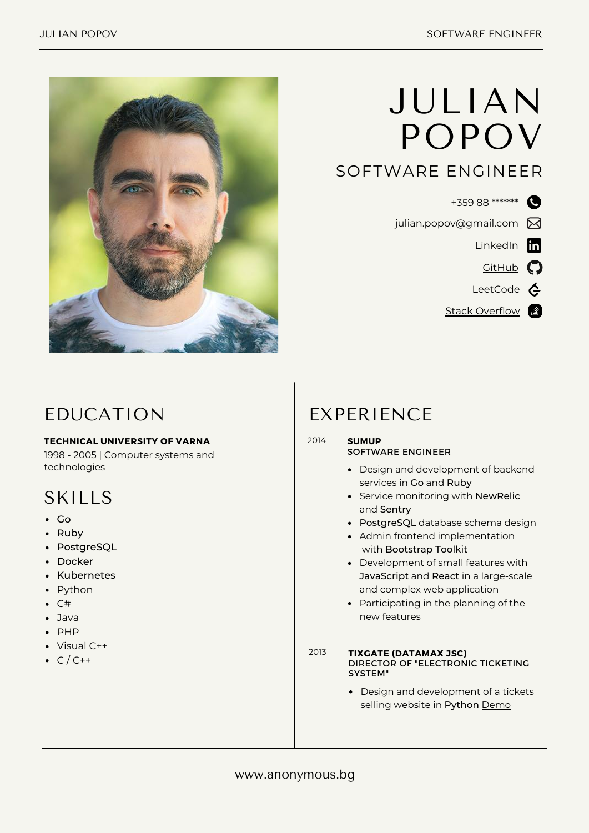

# JULIAN POPOV

### SOFTWARE ENGINEER

- +359 88 \*\*\*\*\*\*\*\*
- julian.popov@gmail.com  $\boxtimes$ 
	- [LinkedIn](https://www.linkedin.com/in/julianpopov/) **in** 
		- $G$ itHub
	- [LeetCode](https://leetcode.com/ju-popov/) ¢
	- Stack [Overflow](https://stackoverflow.com/users/44537/julian-popov) &

# EDUCATION

### **TECHNICAL UNIVERSITY OF VARNA**

1998 - 2005 | Computer systems and technologies

# SKILLS

- Go
- Ruby
- PostgreSQL
- Docker
- Kubernetes
- Python
- $\bullet$  C#
- Java
- $\bullet$  PHP
- Visual C++
- $\bullet$  C/C++

### EXPERIENCE

#### 2014 **SUMUP**

### SOFTWARE ENGINEER

- Design and development of backend services in Go and Ruby
- Service monitoring with NewRelic and Sentry
- PostgreSQL database schema design
- Admin frontend implementation with Bootstrap Toolkit
- Development of small features with JavaScript and React in a large-scale and complex web application
- Participating in the planning of the new features
- 2013 **TIXGATE (DATAMAX JSC)** DIRECTOR OF "ELECTRONIC TICKETING SYSTEM"
	- Design and development of a tickets selling website in Python [Demo](https://www.behance.net/gallery/4346245/TixGate-prodazhba-na-bileti)